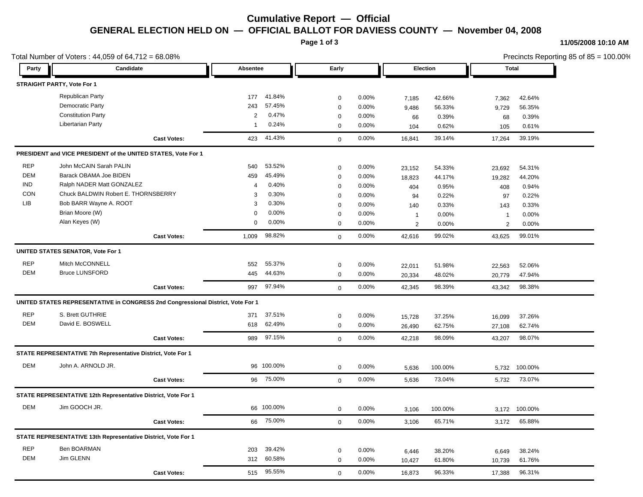# **Cumulative Report — Official GENERAL ELECTION HELD ON — OFFICIAL BALLOT FOR DAVIESS COUNTY — November 04, 2008**

**Page 1 of 3**

#### **11/05/2008 10:10 AM**

Precincts Reporting 85 of 85 = 100.00%

| Total Number of Voters: $44,059$ of $64,712 = 68.08\%$ |                                                                                 |                    |                |            |             |          |                  | Precincts Reporting 85 of 85 = 100.00% |                  |                  |  |
|--------------------------------------------------------|---------------------------------------------------------------------------------|--------------------|----------------|------------|-------------|----------|------------------|----------------------------------------|------------------|------------------|--|
| Party                                                  | Candidate                                                                       |                    | Absentee       |            | Early       |          |                  | Election                               |                  | Total            |  |
|                                                        | STRAIGHT PARTY, Vote For 1                                                      |                    |                |            |             |          |                  |                                        |                  |                  |  |
|                                                        | <b>Republican Party</b>                                                         |                    | 177            | 41.84%     | $\mathbf 0$ | 0.00%    | 7,185            | 42.66%                                 | 7,362            | 42.64%           |  |
|                                                        | Democratic Party                                                                |                    | 243            | 57.45%     | $\mathbf 0$ | 0.00%    | 9,486            | 56.33%                                 | 9,729            | 56.35%           |  |
|                                                        | <b>Constitution Party</b>                                                       |                    | $\overline{2}$ | 0.47%      | $\mathbf 0$ | 0.00%    | 66               | 0.39%                                  | 68               | 0.39%            |  |
|                                                        | Libertarian Party                                                               |                    | -1             | 0.24%      | $\mathbf 0$ | 0.00%    | 104              | 0.62%                                  | 105              | 0.61%            |  |
|                                                        |                                                                                 | <b>Cast Votes:</b> | 423            | 41.43%     | $\mathbf 0$ | 0.00%    | 16,841           | 39.14%                                 | 17,264           | 39.19%           |  |
|                                                        | PRESIDENT and VICE PRESIDENT of the UNITED STATES, Vote For 1                   |                    |                |            |             |          |                  |                                        |                  |                  |  |
| <b>REP</b>                                             | John McCAIN Sarah PALIN                                                         |                    | 540            | 53.52%     | $\mathbf 0$ | $0.00\%$ | 23,152           | 54.33%                                 | 23,692           | 54.31%           |  |
| DEM                                                    | Barack OBAMA Joe BIDEN                                                          |                    | 459            | 45.49%     | $\mathbf 0$ | 0.00%    | 18,823           | 44.17%                                 | 19,282           | 44.20%           |  |
| <b>IND</b>                                             | Ralph NADER Matt GONZALEZ                                                       |                    | 4              | 0.40%      | $\mathbf 0$ | 0.00%    | 404              | 0.95%                                  | 408              | 0.94%            |  |
| <b>CON</b>                                             | Chuck BALDWIN Robert E. THORNSBERRY                                             |                    | 3              | 0.30%      | $\mathbf 0$ | 0.00%    | 94               | 0.22%                                  | 97               | 0.22%            |  |
| LIB                                                    | Bob BARR Wayne A. ROOT                                                          |                    | 3              | 0.30%      | $\mathbf 0$ | 0.00%    | 140              | 0.33%                                  | 143              | 0.33%            |  |
|                                                        | Brian Moore (W)                                                                 |                    | $\mathbf 0$    | 0.00%      | $\mathbf 0$ | 0.00%    | $\mathbf{1}$     | 0.00%                                  | $\overline{1}$   | 0.00%            |  |
|                                                        | Alan Keyes (W)                                                                  |                    | 0              | 0.00%      | $\mathbf 0$ | 0.00%    | 2                | 0.00%                                  | 2                | 0.00%            |  |
|                                                        |                                                                                 | <b>Cast Votes:</b> | 1,009          | 98.82%     | $\mathbf 0$ | 0.00%    | 42,616           | 99.02%                                 | 43,625           | 99.01%           |  |
|                                                        | UNITED STATES SENATOR, Vote For 1                                               |                    |                |            |             |          |                  |                                        |                  |                  |  |
| <b>REP</b>                                             | Mitch McCONNELL                                                                 |                    | 552            | 55.37%     | $\mathbf 0$ | $0.00\%$ | 22,011           | 51.98%                                 | 22,563           | 52.06%           |  |
| DEM                                                    | <b>Bruce LUNSFORD</b>                                                           |                    | 445            | 44.63%     | $\mathbf 0$ | $0.00\%$ | 20,334           | 48.02%                                 | 20,779           | 47.94%           |  |
|                                                        |                                                                                 | <b>Cast Votes:</b> | 997            | 97.94%     | $\mathbf 0$ | 0.00%    | 42,345           | 98.39%                                 | 43,342           | 98.38%           |  |
|                                                        | UNITED STATES REPRESENTATIVE in CONGRESS 2nd Congressional District, Vote For 1 |                    |                |            |             |          |                  |                                        |                  |                  |  |
| <b>REP</b>                                             | S. Brett GUTHRIE                                                                |                    | 371            | 37.51%     | $\mathbf 0$ | $0.00\%$ |                  |                                        |                  |                  |  |
| <b>DEM</b>                                             | David E. BOSWELL                                                                |                    | 618            | 62.49%     | $\mathbf 0$ | 0.00%    | 15,728<br>26,490 | 37.25%<br>62.75%                       | 16,099<br>27,108 | 37.26%<br>62.74% |  |
|                                                        |                                                                                 | <b>Cast Votes:</b> | 989            | 97.15%     | $\mathbf 0$ | 0.00%    | 42,218           | 98.09%                                 | 43,207           | 98.07%           |  |
|                                                        | STATE REPRESENTATIVE 7th Representative District, Vote For 1                    |                    |                |            |             |          |                  |                                        |                  |                  |  |
| DEM                                                    | John A. ARNOLD JR.                                                              |                    |                | 96 100.00% | $\mathbf 0$ | 0.00%    | 5,636            | 100.00%                                | 5,732            | 100.00%          |  |
|                                                        |                                                                                 | <b>Cast Votes:</b> | 96             | 75.00%     | $\mathbf 0$ | 0.00%    | 5,636            | 73.04%                                 | 5,732            | 73.07%           |  |
|                                                        | STATE REPRESENTATIVE 12th Representative District, Vote For 1                   |                    |                |            |             |          |                  |                                        |                  |                  |  |
|                                                        |                                                                                 |                    |                |            |             |          |                  |                                        |                  |                  |  |
| DEM                                                    | Jim GOOCH JR.                                                                   |                    |                | 66 100.00% | $\mathbf 0$ | 0.00%    | 3,106            | 100.00%                                |                  | 3,172 100.00%    |  |
|                                                        |                                                                                 | <b>Cast Votes:</b> | 66             | 75.00%     | $\mathbf 0$ | 0.00%    | 3,106            | 65.71%                                 | 3,172            | 65.88%           |  |
|                                                        | STATE REPRESENTATIVE 13th Representative District, Vote For 1                   |                    |                |            |             |          |                  |                                        |                  |                  |  |
| <b>REP</b>                                             | Ben BOARMAN                                                                     |                    | 203            | 39.42%     | $\mathbf 0$ | 0.00%    | 6,446            | 38.20%                                 | 6,649            | 38.24%           |  |
| DEM                                                    | Jim GLENN                                                                       |                    | 312            | 60.58%     | $\mathbf 0$ | $0.00\%$ | 10,427           | 61.80%                                 | 10,739           | 61.76%           |  |
|                                                        |                                                                                 | <b>Cast Votes:</b> | 515            | 95.55%     | $\mathbf 0$ | 0.00%    | 16,873           | 96.33%                                 | 17,388           | 96.31%           |  |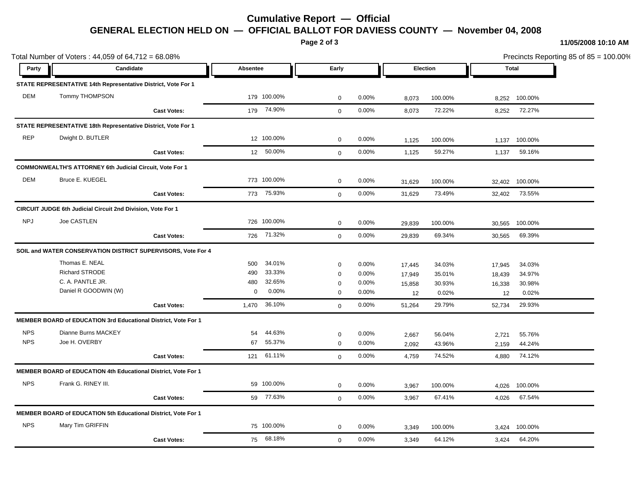# **Cumulative Report — Official GENERAL ELECTION HELD ON — OFFICIAL BALLOT FOR DAVIESS COUNTY — November 04, 2008**

**Page 2 of 3**

**11/05/2008 10:10 AM**

| Total Number of Voters: 44,059 of 64,712 = 68.08% |                                                                       |                    |                      |              |       |          |         | Precincts Reporting 85 of 85 = 100.00% |         |  |
|---------------------------------------------------|-----------------------------------------------------------------------|--------------------|----------------------|--------------|-------|----------|---------|----------------------------------------|---------|--|
| Party                                             | Candidate                                                             |                    | Absentee             | Early        |       | Election |         | <b>Total</b>                           |         |  |
|                                                   | STATE REPRESENTATIVE 14th Representative District, Vote For 1         |                    |                      |              |       |          |         |                                        |         |  |
| <b>DEM</b>                                        | Tommy THOMPSON                                                        |                    | 179 100.00%          | $\mathbf 0$  | 0.00% | 8,073    | 100.00% | 8,252                                  | 100.00% |  |
|                                                   |                                                                       | <b>Cast Votes:</b> | 179 74.90%           | $\mathbf{0}$ | 0.00% | 8,073    | 72.22%  | 8,252                                  | 72.27%  |  |
|                                                   | STATE REPRESENTATIVE 18th Representative District, Vote For 1         |                    |                      |              |       |          |         |                                        |         |  |
| <b>REP</b>                                        | Dwight D. BUTLER                                                      |                    | 12 100.00%           | $\mathbf 0$  | 0.00% | 1,125    | 100.00% | 1,137                                  | 100.00% |  |
|                                                   |                                                                       | <b>Cast Votes:</b> | 12 50.00%            | $\mathbf{0}$ | 0.00% | 1,125    | 59.27%  | 1,137                                  | 59.16%  |  |
|                                                   | <b>COMMONWEALTH'S ATTORNEY 6th Judicial Circuit, Vote For 1</b>       |                    |                      |              |       |          |         |                                        |         |  |
| DEM                                               | Bruce E. KUEGEL                                                       |                    | 773 100.00%          | $\mathbf 0$  | 0.00% | 31,629   | 100.00% | 32,402                                 | 100.00% |  |
|                                                   |                                                                       | <b>Cast Votes:</b> | 773 75.93%           | $\mathbf 0$  | 0.00% | 31,629   | 73.49%  | 32,402                                 | 73.55%  |  |
|                                                   | <b>CIRCUIT JUDGE 6th Judicial Circuit 2nd Division, Vote For 1</b>    |                    |                      |              |       |          |         |                                        |         |  |
| <b>NPJ</b>                                        | Joe CASTLEN                                                           |                    | 726 100.00%          | $\mathbf 0$  | 0.00% | 29,839   | 100.00% | 30,565                                 | 100.00% |  |
|                                                   |                                                                       | <b>Cast Votes:</b> | 726 71.32%           | $\Omega$     | 0.00% | 29,839   | 69.34%  | 30,565                                 | 69.39%  |  |
|                                                   | SOIL and WATER CONSERVATION DISTRICT SUPERVISORS, Vote For 4          |                    |                      |              |       |          |         |                                        |         |  |
|                                                   | Thomas E. NEAL                                                        |                    | 34.01%<br>500        | $\pmb{0}$    | 0.00% | 17,445   | 34.03%  | 17,945                                 | 34.03%  |  |
|                                                   | Richard STRODE                                                        |                    | 33.33%<br>490        | $\mathbf 0$  | 0.00% | 17,949   | 35.01%  | 18,439                                 | 34.97%  |  |
|                                                   | C. A. PANTLE JR.                                                      |                    | 32.65%<br>480        | $\mathbf 0$  | 0.00% | 15,858   | 30.93%  | 16,338                                 | 30.98%  |  |
|                                                   | Daniel R GOODWIN (W)                                                  |                    | 0.00%<br>$\mathbf 0$ | $\mathbf 0$  | 0.00% | 12       | 0.02%   | 12                                     | 0.02%   |  |
|                                                   |                                                                       | <b>Cast Votes:</b> | 36.10%<br>1,470      | $\mathbf 0$  | 0.00% | 51,264   | 29.79%  | 52,734                                 | 29.93%  |  |
|                                                   | <b>MEMBER BOARD of EDUCATION 3rd Educational District, Vote For 1</b> |                    |                      |              |       |          |         |                                        |         |  |
| <b>NPS</b>                                        | Dianne Burns MACKEY                                                   |                    | 44.63%<br>54         | $\mathbf 0$  | 0.00% | 2,667    | 56.04%  | 2,721                                  | 55.76%  |  |
| <b>NPS</b>                                        | Joe H. OVERBY                                                         |                    | 55.37%<br>67         | $\mathbf 0$  | 0.00% | 2,092    | 43.96%  | 2,159                                  | 44.24%  |  |
|                                                   |                                                                       | <b>Cast Votes:</b> | 61.11%<br>121        | $\mathbf{0}$ | 0.00% | 4,759    | 74.52%  | 4,880                                  | 74.12%  |  |
|                                                   | <b>MEMBER BOARD of EDUCATION 4th Educational District, Vote For 1</b> |                    |                      |              |       |          |         |                                        |         |  |
| <b>NPS</b>                                        | Frank G. RINEY III.                                                   |                    | 59 100.00%           | $\mathbf 0$  | 0.00% | 3,967    | 100.00% | 4,026                                  | 100.00% |  |
|                                                   |                                                                       | <b>Cast Votes:</b> | 59 77.63%            | $\mathbf 0$  | 0.00% | 3,967    | 67.41%  | 4,026                                  | 67.54%  |  |
|                                                   | MEMBER BOARD of EDUCATION 5th Educational District, Vote For 1        |                    |                      |              |       |          |         |                                        |         |  |
| <b>NPS</b>                                        | Mary Tim GRIFFIN                                                      |                    | 75 100.00%           | $\mathbf 0$  | 0.00% | 3,349    | 100.00% | 3,424                                  | 100.00% |  |
|                                                   |                                                                       | <b>Cast Votes:</b> | 75 68.18%            | $\mathbf 0$  | 0.00% | 3,349    | 64.12%  | 3,424                                  | 64.20%  |  |